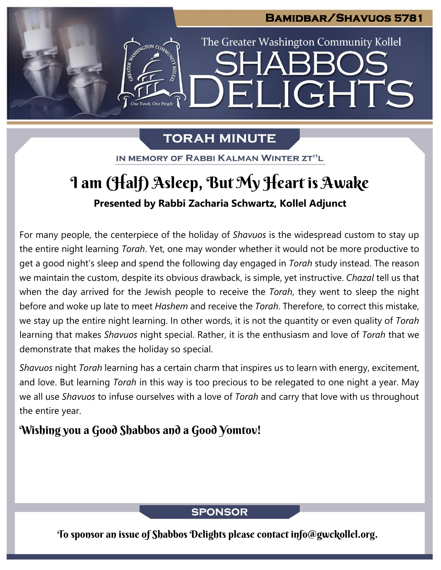# **Bamidbar/Shavuos 5781**  The Greater Washington Community Kollel IGHTS Fil

### **TORAH MINUTE**

IN MEMORY OF RABBI KALMAN WINTER ZT"L

## **Presented by Rabbi Zacharia Schwartz, Kollel Adjunct** I am (Half) Asleep, But My Heart is Awake

For many people, the centerpiece of the holiday of *Shavuos* is the widespread custom to stay up the entire night learning *Torah*. Yet, one may wonder whether it would not be more productive to get a good night's sleep and spend the following day engaged in *Torah* study instead. The reason we maintain the custom, despite its obvious drawback, is simple, yet instructive. *Chazal* tell us that when the day arrived for the Jewish people to receive the *Torah*, they went to sleep the night before and woke up late to meet *Hashem* and receive the *Torah*. Therefore, to correct this mistake, we stay up the entire night learning. In other words, it is not the quantity or even quality of *Torah* learning that makes *Shavuos* night special. Rather, it is the enthusiasm and love of *Torah* that we demonstrate that makes the holiday so special.

*Shavuos* night *Torah* learning has a certain charm that inspires us to learn with energy, excitement, and love. But learning *Torah* in this way is too precious to be relegated to one night a year. May we all use *Shavuos* to infuse ourselves with a love of *Torah* and carry that love with us throughout the entire year.

### Wishing you a Good Shabbos and a Good Yomtov!

### **SPONSOR**

To sponsor an issue of Shabbos Delights please contact info@gwckollel.org.